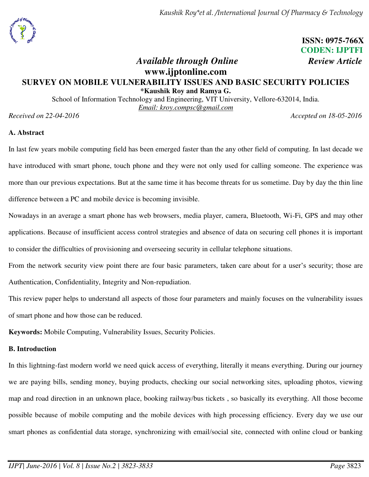# **ISSN: 0975-766X CODEN: IJPTFI**

# *Available through Online Review Article* **www.ijptonline.com SURVEY ON MOBILE VULNERABILITY ISSUES AND BASIC SECURITY POLICIES \*Kaushik Roy and Ramya G.**

School of Information Technology and Engineering, VIT University, Vellore-632014, India. *Email: kroy.compsc@gmail.com* 

*Received on 22-04-2016 Accepted on 18-05-2016* 

## **A. Abstract**

In last few years mobile computing field has been emerged faster than the any other field of computing. In last decade we have introduced with smart phone, touch phone and they were not only used for calling someone. The experience was more than our previous expectations. But at the same time it has become threats for us sometime. Day by day the thin line difference between a PC and mobile device is becoming invisible.

Nowadays in an average a smart phone has web browsers, media player, camera, Bluetooth, Wi-Fi, GPS and may other applications. Because of insufficient access control strategies and absence of data on securing cell phones it is important to consider the difficulties of provisioning and overseeing security in cellular telephone situations.

From the network security view point there are four basic parameters, taken care about for a user's security; those are Authentication, Confidentiality, Integrity and Non-repudiation.

This review paper helps to understand all aspects of those four parameters and mainly focuses on the vulnerability issues of smart phone and how those can be reduced.

**Keywords:** Mobile Computing, Vulnerability Issues, Security Policies.

## **B. Introduction**

In this lightning-fast modern world we need quick access of everything, literally it means everything. During our journey we are paying bills, sending money, buying products, checking our social networking sites, uploading photos, viewing map and road direction in an unknown place, booking railway/bus tickets , so basically its everything. All those become possible because of mobile computing and the mobile devices with high processing efficiency. Every day we use our smart phones as confidential data storage, synchronizing with email/social site, connected with online cloud or banking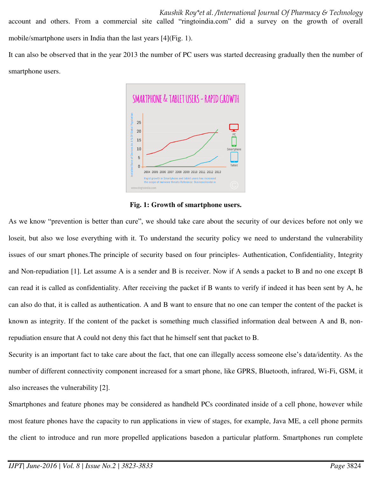It can also be observed that in the year 2013 the number of PC users was started decreasing gradually then the number of smartphone users.



**Fig. 1: Growth of smartphone users.** 

As we know "prevention is better than cure", we should take care about the security of our devices before not only we loseit, but also we lose everything with it. To understand the security policy we need to understand the vulnerability issues of our smart phones.The principle of security based on four principles- Authentication, Confidentiality, Integrity and Non-repudiation [1]. Let assume A is a sender and B is receiver. Now if A sends a packet to B and no one except B can read it is called as confidentiality. After receiving the packet if B wants to verify if indeed it has been sent by A, he can also do that, it is called as authentication. A and B want to ensure that no one can temper the content of the packet is known as integrity. If the content of the packet is something much classified information deal between A and B, nonrepudiation ensure that A could not deny this fact that he himself sent that packet to B.

Security is an important fact to take care about the fact, that one can illegally access someone else's data/identity. As the number of different connectivity component increased for a smart phone, like GPRS, Bluetooth, infrared, Wi-Fi, GSM, it also increases the vulnerability [2].

Smartphones and feature phones may be considered as handheld PCs coordinated inside of a cell phone, however while most feature phones have the capacity to run applications in view of stages, for example, Java ME, a cell phone permits the client to introduce and run more propelled applications basedon a particular platform. Smartphones run complete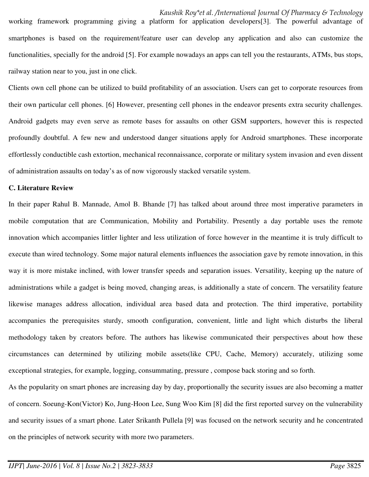working framework programming giving a platform for application developers[3]. The powerful advantage of smartphones is based on the requirement/feature user can develop any application and also can customize the functionalities, specially for the android [5]. For example nowadays an apps can tell you the restaurants, ATMs, bus stops, railway station near to you, just in one click.

Clients own cell phone can be utilized to build profitability of an association. Users can get to corporate resources from their own particular cell phones. [6] However, presenting cell phones in the endeavor presents extra security challenges. Android gadgets may even serve as remote bases for assaults on other GSM supporters, however this is respected profoundly doubtful. A few new and understood danger situations apply for Android smartphones. These incorporate effortlessly conductible cash extortion, mechanical reconnaissance, corporate or military system invasion and even dissent of administration assaults on today's as of now vigorously stacked versatile system.

#### **C. Literature Review**

In their paper Rahul B. Mannade, Amol B. Bhande [7] has talked about around three most imperative parameters in mobile computation that are Communication, Mobility and Portability. Presently a day portable uses the remote innovation which accompanies littler lighter and less utilization of force however in the meantime it is truly difficult to execute than wired technology. Some major natural elements influences the association gave by remote innovation, in this way it is more mistake inclined, with lower transfer speeds and separation issues. Versatility, keeping up the nature of administrations while a gadget is being moved, changing areas, is additionally a state of concern. The versatility feature likewise manages address allocation, individual area based data and protection. The third imperative, portability accompanies the prerequisites sturdy, smooth configuration, convenient, little and light which disturbs the liberal methodology taken by creators before. The authors has likewise communicated their perspectives about how these circumstances can determined by utilizing mobile assets(like CPU, Cache, Memory) accurately, utilizing some exceptional strategies, for example, logging, consummating, pressure , compose back storing and so forth.

As the popularity on smart phones are increasing day by day, proportionally the security issues are also becoming a matter of concern. Soeung-Kon(Victor) Ko, Jung-Hoon Lee, Sung Woo Kim [8] did the first reported survey on the vulnerability and security issues of a smart phone. Later Srikanth Pullela [9] was focused on the network security and he concentrated on the principles of network security with more two parameters.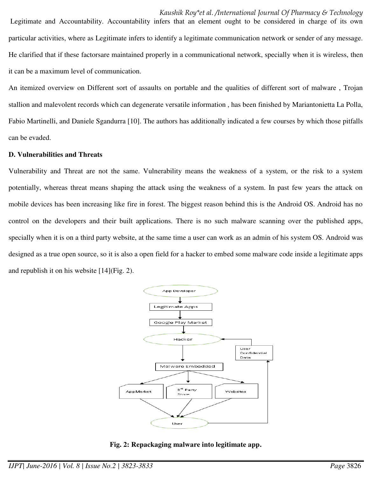Legitimate and Accountability. Accountability infers that an element ought to be considered in charge of its own particular activities, where as Legitimate infers to identify a legitimate communication network or sender of any message. He clarified that if these factorsare maintained properly in a communicational network, specially when it is wireless, then it can be a maximum level of communication.

An itemized overview on Different sort of assaults on portable and the qualities of different sort of malware , Trojan stallion and malevolent records which can degenerate versatile information , has been finished by Mariantonietta La Polla, Fabio Martinelli, and Daniele Sgandurra [10]. The authors has additionally indicated a few courses by which those pitfalls can be evaded.

#### **D. Vulnerabilities and Threats**

Vulnerability and Threat are not the same. Vulnerability means the weakness of a system, or the risk to a system potentially, whereas threat means shaping the attack using the weakness of a system. In past few years the attack on mobile devices has been increasing like fire in forest. The biggest reason behind this is the Android OS. Android has no control on the developers and their built applications. There is no such malware scanning over the published apps, specially when it is on a third party website, at the same time a user can work as an admin of his system OS. Android was designed as a true open source, so it is also a open field for a hacker to embed some malware code inside a legitimate apps and republish it on his website [14](Fig. 2).



## **Fig. 2: Repackaging malware into legitimate app.**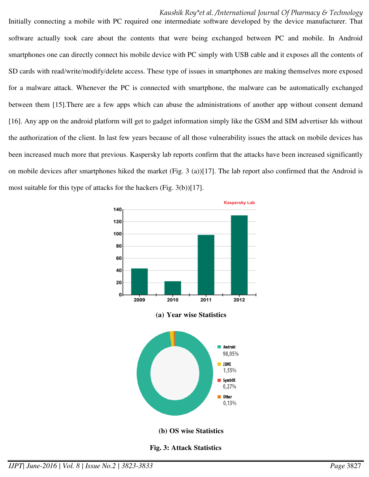#### *Kaushik Roy\*et al. /International Journal Of Pharmacy & Technology*

Initially connecting a mobile with PC required one intermediate software developed by the device manufacturer. That software actually took care about the contents that were being exchanged between PC and mobile. In Android smartphones one can directly connect his mobile device with PC simply with USB cable and it exposes all the contents of SD cards with read/write/modify/delete access. These type of issues in smartphones are making themselves more exposed for a malware attack. Whenever the PC is connected with smartphone, the malware can be automatically exchanged between them [15].There are a few apps which can abuse the administrations of another app without consent demand [16]. Any app on the android platform will get to gadget information simply like the GSM and SIM advertiser Ids without the authorization of the client. In last few years because of all those vulnerability issues the attack on mobile devices has been increased much more that previous. Kaspersky lab reports confirm that the attacks have been increased significantly on mobile devices after smartphones hiked the market (Fig. 3 (a))[17]. The lab report also confirmed that the Android is most suitable for this type of attacks for the hackers (Fig. 3(b))[17].



#### **Fig. 3: Attack Statistics**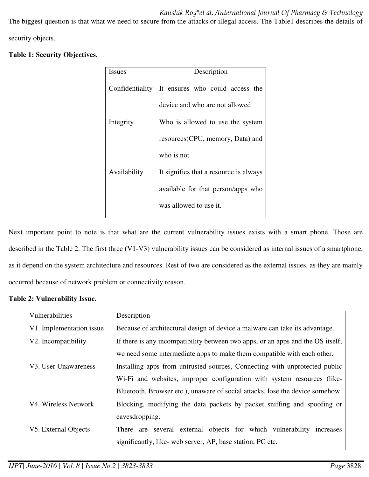*Kaushik Roy\*et al. /International Journal Of Pharmacy & Technology* 

The biggest question is that what we need to secure from the attacks or illegal access. The Table1 describes the details of

security objects.

**Table 1: Security Objectives.** 

| <b>Issues</b>   | Description                                     |  |  |
|-----------------|-------------------------------------------------|--|--|
| Confidentiality | It ensures who could access the                 |  |  |
|                 | device and who are not allowed                  |  |  |
| Integrity       | Who is allowed to use the system                |  |  |
|                 | resources (CPU, memory, Data) and<br>who is not |  |  |
|                 |                                                 |  |  |
| Availability    | It signifies that a resource is always          |  |  |
|                 | available for that person/apps who              |  |  |
|                 | was allowed to use it.                          |  |  |

Next important point to note is that what are the current vulnerability issues exists with a smart phone. Those are described in the Table 2. The first three (V1-V3) vulnerability issues can be considered as internal issues of a smartphone, as it depend on the system architecture and resources. Rest of two are considered as the external issues, as they are mainly occurred because of network problem or connectivity reason.

## **Table 2: Vulnerability Issue.**

| Vulnerabilities          | Description                                                                                                                                                                                                                            |  |  |
|--------------------------|----------------------------------------------------------------------------------------------------------------------------------------------------------------------------------------------------------------------------------------|--|--|
| V1. Implementation issue | Because of architectural design of device a malware can take its advantage.                                                                                                                                                            |  |  |
| V2. Incompatibility      | If there is any incompatibility between two apps, or an apps and the OS itself;<br>we need some intermediate apps to make them compatible with each other.                                                                             |  |  |
| V3. User Unawareness     | Installing apps from untrusted sources, Connecting with unprotected public<br>Wi-Fi and websites, improper configuration with system resources (like-<br>Bluetooth, Browser etc.), unaware of social attacks, lose the device somehow. |  |  |
| V4. Wireless Network     | Blocking, modifying the data packets by packet sniffing and spoofing or<br>eavesdropping.                                                                                                                                              |  |  |
| V5. External Objects     | There are several external objects for which vulnerability<br>increases<br>significantly, like- web server, AP, base station, PC etc.                                                                                                  |  |  |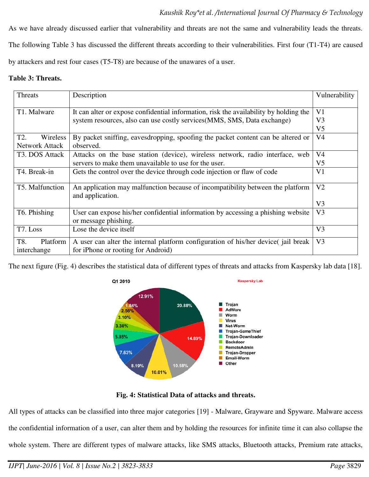As we have already discussed earlier that vulnerability and threats are not the same and vulnerability leads the threats. The following Table 3 has discussed the different threats according to their vulnerabilities. First four (T1-T4) are caused by attackers and rest four cases (T5-T8) are because of the unawares of a user.

#### **Table 3: Threats.**

| Threats                        | Description                                                                                                              | Vulnerability  |  |
|--------------------------------|--------------------------------------------------------------------------------------------------------------------------|----------------|--|
|                                |                                                                                                                          | V <sub>1</sub> |  |
|                                | T1. Malware<br>It can alter or expose confidential information, risk the availability by holding the                     |                |  |
|                                | system resources, also can use costly services (MMS, SMS, Data exchange)                                                 | V <sub>3</sub> |  |
|                                |                                                                                                                          | V <sub>5</sub> |  |
| T <sub>2</sub> .<br>Wireless   | By packet sniffing, eavesdropping, spoofing the packet content can be altered or                                         | V <sub>4</sub> |  |
| <b>Network Attack</b>          | observed.                                                                                                                |                |  |
| T3. DOS Attack                 | Attacks on the base station (device), wireless network, radio interface, web                                             | V <sub>4</sub> |  |
|                                | servers to make them unavailable to use for the user.                                                                    | V <sub>5</sub> |  |
| T4. Break-in                   | V <sub>1</sub><br>Gets the control over the device through code injection or flaw of code                                |                |  |
| T5. Malfunction                | An application may malfunction because of incompatibility between the platform<br>and application.                       |                |  |
|                                |                                                                                                                          | V <sub>3</sub> |  |
| T6. Phishing                   | User can expose his/her confidential information by accessing a phishing website<br>or message phishing.                 |                |  |
| T7. Loss                       | Lose the device itself                                                                                                   |                |  |
| T8.<br>Platform<br>interchange | A user can alter the internal platform configuration of his/her device (jail break<br>for iPhone or rooting for Android) | V <sub>3</sub> |  |

The next figure (Fig. 4) describes the statistical data of different types of threats and attacks from Kaspersky lab data [18].



## **Fig. 4: Statistical Data of attacks and threats.**

All types of attacks can be classified into three major categories [19] - Malware, Grayware and Spyware. Malware access the confidential information of a user, can alter them and by holding the resources for infinite time it can also collapse the whole system. There are different types of malware attacks, like SMS attacks, Bluetooth attacks, Premium rate attacks,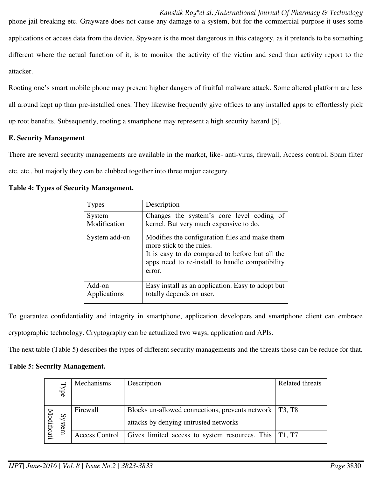#### *Kaushik Roy\*et al. /International Journal Of Pharmacy & Technology*

phone jail breaking etc. Grayware does not cause any damage to a system, but for the commercial purpose it uses some applications or access data from the device. Spyware is the most dangerous in this category, as it pretends to be something different where the actual function of it, is to monitor the activity of the victim and send than activity report to the attacker.

Rooting one's smart mobile phone may present higher dangers of fruitful malware attack. Some altered platform are less all around kept up than pre-installed ones. They likewise frequently give offices to any installed apps to effortlessly pick up root benefits. Subsequently, rooting a smartphone may represent a high security hazard [5].

#### **E. Security Management**

There are several security managements are available in the market, like- anti-virus, firewall, Access control, Spam filter etc. etc., but majorly they can be clubbed together into three major category.

## **Table 4: Types of Security Management.**

| <b>Types</b>  | Description                                                                                                                                                                                |
|---------------|--------------------------------------------------------------------------------------------------------------------------------------------------------------------------------------------|
| System        | Changes the system's core level coding of                                                                                                                                                  |
| Modification  | kernel. But very much expensive to do.                                                                                                                                                     |
| System add-on | Modifies the configuration files and make them<br>more stick to the rules.<br>It is easy to do compared to before but all the<br>apps need to re-install to handle compatibility<br>error. |
| Add-on        | Easy install as an application. Easy to adopt but                                                                                                                                          |
| Applications  | totally depends on user.                                                                                                                                                                   |

To guarantee confidentiality and integrity in smartphone, application developers and smartphone client can embrace cryptographic technology. Cryptography can be actualized two ways, application and APIs.

The next table (Table 5) describes the types of different security managements and the threats those can be reduce for that.

## **Table 5: Security Management.**

|            | Type   | Mechanisms | Description                                                              | <b>Related threats</b> |
|------------|--------|------------|--------------------------------------------------------------------------|------------------------|
|            |        |            |                                                                          |                        |
|            |        | Firewall   | Blocks un-allowed connections, prevents network   T3, T8                 |                        |
| Aodificati | System |            | attacks by denying untrusted networks                                    |                        |
|            |        |            | Access Control   Gives limited access to system resources. This   T1, T7 |                        |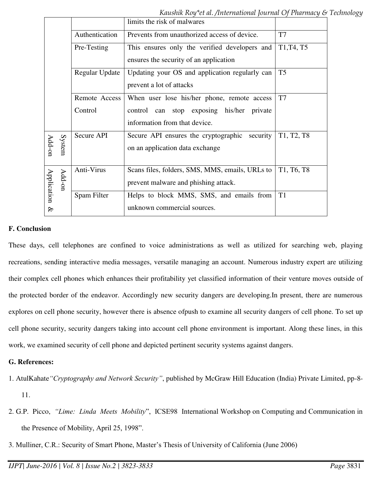*Kaushik Roy\*et al. /International Journal Of Pharmacy & Technology* 

|             |        |                       | limits the risk of malwares                      |                                                  |
|-------------|--------|-----------------------|--------------------------------------------------|--------------------------------------------------|
|             |        | Authentication        | Prevents from unauthorized access of device.     | T7                                               |
|             |        | Pre-Testing           | This ensures only the verified developers and    | T <sub>1</sub> , T <sub>4</sub> , T <sub>5</sub> |
|             |        |                       | ensures the security of an application           |                                                  |
|             |        | <b>Regular Update</b> | Updating your OS and application regularly can   | T <sub>5</sub>                                   |
|             |        |                       | prevent a lot of attacks                         |                                                  |
|             |        | Remote Access         | When user lose his/her phone, remote access      | T7                                               |
|             |        | Control               | control can stop exposing his/her<br>private     |                                                  |
|             |        |                       | information from that device.                    |                                                  |
| Add-on      | System | Secure API            | security<br>Secure API ensures the cryptographic | T <sub>1</sub> , T <sub>2</sub> , T <sub>8</sub> |
|             |        |                       | on an application data exchange                  |                                                  |
|             |        |                       |                                                  |                                                  |
| Application | Add-on | Anti-Virus            | Scans files, folders, SMS, MMS, emails, URLs to  | T <sub>1</sub> , T <sub>6</sub> , T <sub>8</sub> |
|             |        |                       | prevent malware and phishing attack.             |                                                  |
|             |        | Spam Filter           | Helps to block MMS, SMS, and emails from         | T <sub>1</sub>                                   |
| $\otimes$   |        |                       | unknown commercial sources.                      |                                                  |

## **F. Conclusion**

These days, cell telephones are confined to voice administrations as well as utilized for searching web, playing recreations, sending interactive media messages, versatile managing an account. Numerous industry expert are utilizing their complex cell phones which enhances their profitability yet classified information of their venture moves outside of the protected border of the endeavor. Accordingly new security dangers are developing.In present, there are numerous explores on cell phone security, however there is absence ofpush to examine all security dangers of cell phone. To set up cell phone security, security dangers taking into account cell phone environment is important. Along these lines, in this work, we examined security of cell phone and depicted pertinent security systems against dangers.

## **G. References:**

- 1. AtulKahate*"Cryptography and Network Security"*, published by McGraw Hill Education (India) Private Limited, pp-8- 11.
- 2. G.P. Picco, *"Lime: Linda Meets Mobility*", ICSE98 International Workshop on Computing and Communication in the Presence of Mobility, April 25, 1998".
- 3. Mulliner, C.R.: Security of Smart Phone, Master's Thesis of University of California (June 2006)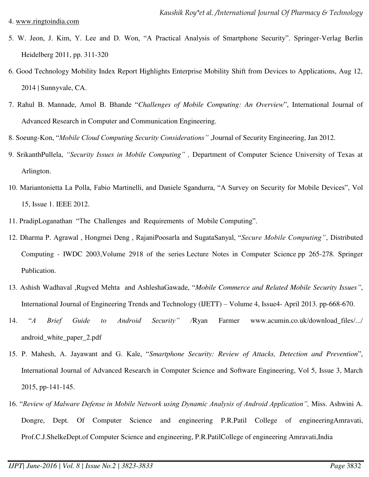#### 4. [www.ringtoindia.com](http://www.ringtoindia.com/)

- 5. W. Jeon, J. Kim, Y. Lee and D. Won, "A Practical Analysis of Smartphone Security". Springer-Verlag Berlin Heidelberg 2011, pp. 311-320
- 6. Good Technology Mobility Index Report Highlights Enterprise Mobility Shift from Devices to Applications, Aug 12, 2014 | Sunnyvale, CA.
- 7. Rahul B. Mannade, Amol B. Bhande "*Challenges of Mobile Computing: An Overview*", International Journal of Advanced Research in Computer and Communication Engineering.
- 8. Soeung-Kon, "*Mobile Cloud Computing Security Considerations"* ,Journal of Security Engineering, Jan 2012.
- 9. SrikanthPullela, *"Security Issues in Mobile Computing" ,* Department of Computer Science University of Texas at Arlington.
- 10. Mariantonietta La Polla, Fabio Martinelli, and Daniele Sgandurra, "A Survey on Security for Mobile Devices", Vol 15, Issue 1. IEEE 2012.
- 11. PradipLoganathan "The Challenges and Requirements of Mobile Computing".
- 12. Dharma P. Agrawal , Hongmei Deng , RajaniPoosarla and SugataSanyal, "*Secure Mobile Computing"*, [Distributed](http://link.springer.com/book/10.1007/b94926)  [Computing - IWDC 2003,](http://link.springer.com/book/10.1007/b94926)Volume 2918 of the series [Lecture Notes in Computer Science](http://link.springer.com/bookseries/558) pp 265-278. Springer Publication.
- 13. Ashish Wadhaval ,Rugved Mehta and AshleshaGawade, "*Mobile Commerce and Related Mobile Security Issues"*, International Journal of Engineering Trends and Technology (IJETT) – Volume 4, Issue4- April 2013. pp-668-670.
- 14. "*A Brief Guide to Android Security" /*Ryan Farmer www.acumin.co.uk/download\_files/.../ android\_white\_paper\_2.pdf
- 15. P. Mahesh, A. Jayawant and G. Kale, "*Smartphone Security: Review of Attacks, Detection and Prevention*", International Journal of Advanced Research in Computer Science and Software Engineering, Vol 5, Issue 3, March 2015, pp-141-145.
- 16. "*Review of Malware Defense in Mobile Network using Dynamic Analysis of Android Application",* Miss. Ashwini A. Dongre, Dept. Of Computer Science and engineering P.R.Patil College of engineeringAmravati, Prof.C.J.ShelkeDept.of Computer Science and engineering, P.R.PatilCollege of engineering Amravati,India